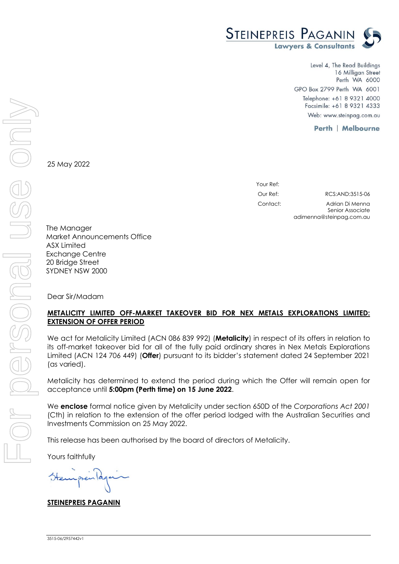

Level 4, The Read Buildings 16 Milligan Street Perth WA 6000 GPO Box 2799 Perth WA 6001 Telephone: +61 8 9321 4000 Facsimile: +61 8 9321 4333 Web: www.steinpag.com.au

**Perth | Melbourne** 

25 May 2022

| Your Ref: |                                     |
|-----------|-------------------------------------|
| Our Ref:  | RCS: AND: 3515-06                   |
| Contact:  | Adrian Di Menna<br>Senior Associate |

adimenna@steinpag.com.au

The Manager Market Announcements Office ASX Limited Exchange Centre 20 Bridge Street SYDNEY NSW 2000

Dear Sir/Madam

## **METALICITY LIMITED OFF-MARKET TAKEOVER BID FOR NEX METALS EXPLORATIONS LIMITED: EXTENSION OF OFFER PERIOD**

We act for Metalicity Limited (ACN 086 839 992) (**Metalicity**) in respect of its offers in relation to its off-market takeover bid for all of the fully paid ordinary shares in Nex Metals Explorations Limited (ACN 124 706 449) (**Offer**) pursuant to its bidder's statement dated 24 September 2021 (as varied).

Metalicity has determined to extend the period during which the Offer will remain open for acceptance until **5:00pm (Perth time) on 15 June 2022**.

We **enclose** formal notice given by Metalicity under section 650D of the *Corporations Act 2001* (Cth) in relation to the extension of the offer period lodged with the Australian Securities and Investments Commission on 25 May 2022.

This release has been authorised by the board of directors of Metalicity.

Yours faithfully

**STEINEPREIS PAGANIN**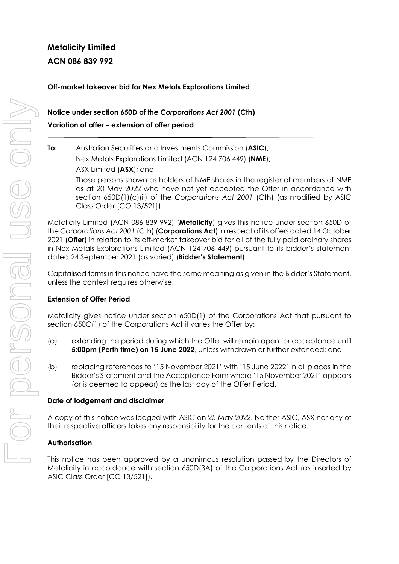# **Metalicity Limited ACN 086 839 992**

## **Off-market takeover bid for Nex Metals Explorations Limited**

# **Notice under section 650D of the** *Corporations Act 2001* **(Cth) Variation of offer – extension of offer period**

## **To:** Australian Securities and Investments Commission (**ASIC**);

Nex Metals Explorations Limited (ACN 124 706 449) (**NME**);

ASX Limited (**ASX**); and

Those persons shown as holders of NME shares in the register of members of NME as at 20 May 2022 who have not yet accepted the Offer in accordance with section 650D(1)(c)(ii) of the *Corporations Act 2001* (Cth) (as modified by ASIC Class Order [CO 13/521])

Metalicity Limited (ACN 086 839 992) (**Metalicity**) gives this notice under section 650D of the *Corporations Act 2001* (Cth) (**Corporations Act**) in respect of its offers dated 14 October 2021 (**Offer**) in relation to its off-market takeover bid for all of the fully paid ordinary shares in Nex Metals Explorations Limited (ACN 124 706 449) pursuant to its bidder's statement dated 24 September 2021 (as varied) (**Bidder's Statement**).

Capitalised terms in this notice have the same meaning as given in the Bidder's Statement, unless the context requires otherwise.

### **Extension of Offer Period**

Metalicity gives notice under section 650D(1) of the Corporations Act that pursuant to section 650C(1) of the Corporations Act it varies the Offer by:

- (a) extending the period during which the Offer will remain open for acceptance until **5:00pm (Perth time) on 15 June 2022**, unless withdrawn or further extended; and
- (b) replacing references to '15 November 2021' with '15 June 2022' in all places in the Bidder's Statement and the Acceptance Form where '15 November 2021' appears (or is deemed to appear) as the last day of the Offer Period.

### **Date of lodgement and disclaimer**

A copy of this notice was lodged with ASIC on 25 May 2022. Neither ASIC, ASX nor any of their respective officers takes any responsibility for the contents of this notice.

### **Authorisation**

This notice has been approved by a unanimous resolution passed by the Directors of Metalicity in accordance with section 650D(3A) of the Corporations Act (as inserted by ASIC Class Order [CO 13/521]).